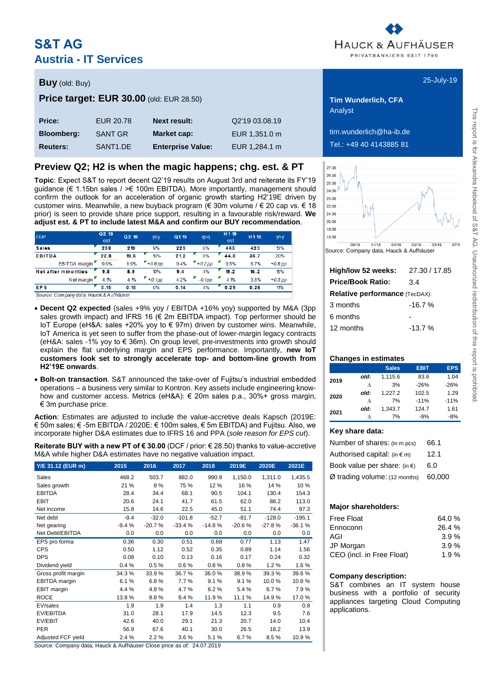# **S&T AG Austria - IT Services**



# **Buy** 25-July-19 (old: Buy) **Price target: EUR 30.00** (old: EUR 28.50) **Tim Wunderlich, CFA**

| <b>Price:</b>     | EUR 20.78            | <b>Next result:</b>      | Q2'19 03.08.19 |
|-------------------|----------------------|--------------------------|----------------|
| <b>Bloomberg:</b> | SANT GR              | Market cap:              | EUR 1.351.0 m  |
| <b>Reuters:</b>   | SANT <sub>1.DE</sub> | <b>Enterprise Value:</b> | EUR 1.284.1 m  |

# **Preview Q2; H2 is when the magic happens; chg. est. & PT**

**Topic**: Expect S&T to report decent Q2'19 results on August 3rd and reiterate its FY'19 guidance (€ 1.15bn sales / >€ 100m EBITDA). More importantly, management should confirm the outlook for an acceleration of organic growth starting H2'19E driven by customer wins. Meanwhile, a new buyback program (€ 30m volume / € 20 cap vs. € 18 prior) is seen to provide share price support, resulting in a favourable risk/reward. **We adjust est. & PT to include latest M&A and confirm our BUY recommendation**.

| <b>EUR</b>                  | Q <sub>2</sub> 19<br>est | Q 2 18 | yoy       | Q119 | qo q      | H 1 19<br>est | H118 | yo y      |
|-----------------------------|--------------------------|--------|-----------|------|-----------|---------------|------|-----------|
| <b>Sales</b>                | 238                      | 219    | 9%        | 225  | 6%        | 463           | 423  | 10%       |
| <b>EBITDA</b>               | 22.8                     | 19.6   | 16%       | 21.2 | 8%        | 44.0          | 36.7 | 20%       |
| EBITDA margin               | 9.6%                     | 8.9%   | $+0.6$ pp | 9.4% | $+0.2$ pp | г<br>9.5%     | 8.7% | $+0.8$ pp |
| <b>Net after minorities</b> | 9.8                      | 8.9    | 10%       | 9.4  | 4%        | 19.2          | 16.2 | 18%       |
| Net margin                  | 4.1%                     | 4.1%   | $+0.1$ pp | 4.2% | $-0.1$ pp | 4.1%          | 3.8% | $+0.3$ pp |
| <b>EPS</b>                  | 0.15                     | 0.15   | 0%        | 0.14 | 4%        | 0.29          | 0.26 | 11%       |

Source: Company data, Hauck & Aufhäuser

- **Decent Q2 expected** (sales +9% yoy / EBITDA +16% yoy) supported by M&A (3pp sales growth impact) and IFRS 16 ( $\epsilon$  2m EBITDA impact). Top performer should be IoT Europe (eH&A: sales +20% yoy to € 97m) driven by customer wins. Meanwhile, IoT America is yet seen to suffer from the phase-out of lower-margin legacy contracts (eH&A: sales -1% yoy to € 36m). On group level, pre-investments into growth should explain the flat underlying margin and EPS performance. Importantly, **new IoT customers look set to strongly accelerate top- and bottom-line growth from H2'19E onwards**.
- **Bolt-on transaction**. S&T announced the take-over of Fujitsu's industrial embedded operations – a business very similar to Kontron. Key assets include engineering knowhow and customer access. Metrics (eH&A): € 20m sales p.a., 30%+ gross margin, € 3m purchase price.

**Action**: Estimates are adjusted to include the value-accretive deals Kapsch (2019E: € 50m sales; € -5m EBITDA / 2020E: € 100m sales, € 5m EBITDA) and Fujitsu. Also, we incorporate higher D&A estimates due to IFRS 16 and PPA (*sole reason for EPS cut*).

**Reiterate BUY with a new PT of € 30.00** (DCF / prior: € 28.50) thanks to value-accretive M&A while higher D&A estimates have no negative valuation impact.

| Y/E 31.12 (EUR m)   | 2015    | 2016     | 2017     | 2018     | 2019E    | 2020E    | 2021E    |
|---------------------|---------|----------|----------|----------|----------|----------|----------|
| Sales               | 468.2   | 503.7    | 882.0    | 990.9    | 1,150.0  | 1,311.0  | 1,435.5  |
| Sales growth        | 21 %    | 8%       | 75 %     | 12%      | 16 %     | 14 %     | 10 %     |
| <b>EBITDA</b>       | 28.4    | 34.4     | 68.1     | 90.5     | 104.1    | 130.4    | 154.3    |
| <b>EBIT</b>         | 20.6    | 24.1     | 41.7     | 61.5     | 62.0     | 88.2     | 113.0    |
| Net income          | 15.8    | 14.6     | 22.5     | 45.0     | 51.1     | 74.4     | 97.3     |
| Net debt            | $-9.4$  | $-32.0$  | $-101.8$ | $-52.7$  | $-81.7$  | $-128.0$ | $-195.1$ |
| Net gearing         | $-9.4%$ | $-20.7%$ | $-33.4%$ | $-14.8%$ | $-20.6%$ | $-27.8%$ | $-36.1%$ |
| Net Debt/EBITDA     | 0.0     | 0.0      | 0.0      | 0.0      | 0.0      | 0.0      | 0.0      |
| EPS pro forma       | 0.36    | 0.30     | 0.51     | 0.68     | 0.77     | 1.13     | 1.47     |
| <b>CPS</b>          | 0.50    | 1.12     | 0.52     | 0.35     | 0.89     | 1.14     | 1.56     |
| <b>DPS</b>          | 0.08    | 0.10     | 0.13     | 0.16     | 0.17     | 0.24     | 0.32     |
| Dividend yield      | 0.4%    | 0.5%     | 0.6%     | 0.8%     | 0.8%     | 1.2%     | 1.6%     |
| Gross profit margin | 34.3%   | 33.9%    | 36.7%    | 36.0%    | 38.9%    | 39.3%    | 39.6%    |
| EBITDA margin       | 6.1%    | 6.8%     | 7.7%     | 9.1%     | 9.1%     | 10.0%    | 10.8%    |
| EBIT margin         | 4.4 %   | 4.8%     | 4.7%     | 6.2%     | 5.4 %    | 6.7%     | 7.9%     |
| <b>ROCE</b>         | 13.8%   | 8.8%     | 9.4%     | 11.9%    | 11.1%    | 14.9%    | 17.0%    |
| EV/sales            | 1.9     | 1.9      | 1.4      | 1.3      | 1.1      | 0.9      | 0.8      |
| EV/EBITDA           | 31.0    | 28.1     | 17.9     | 14.5     | 12.3     | 9.5      | 7.6      |
| EV/EBIT             | 42.6    | 40.0     | 29.1     | 21.3     | 20.7     | 14.0     | 10.4     |
| <b>PER</b>          | 56.9    | 67.6     | 40.1     | 30.0     | 26.5     | 18.2     | 13.9     |
| Adjusted FCF yield  | 2.4%    | 2.2%     | 3.6%     | 5.1%     | 6.7%     | 8.5%     | 10.9%    |

Source: Company data, Hauck & Aufhäuser Close price as of: 24.07.2019

Analyst

 $\lim_{x\to 0}$  wunderlich@ha-ib.de **Reuters:** SANT1.DE **Enterprise Value:** EUR 1,284.1 m Tel.: +49 40 4143885 81



Source: Company data, Hauck & Aufhäuser

| 27.30 / 17.85                         |
|---------------------------------------|
| 3.4                                   |
| <b>Relative performance (TecDAX):</b> |
| $-16.7%$                              |
|                                       |
| $-13.7%$                              |
|                                       |

### **Changes in estimates**

|      |      | <b>Sales</b> | <b>EBIT</b> | <b>EPS</b> |
|------|------|--------------|-------------|------------|
| 2019 | old: | 1.115.6      | 83.6        | 1.04       |
|      | л    | 3%           | $-26%$      | $-26%$     |
| 2020 | old: | 1.227.2      | 102.5       | 1.29       |
|      | л    | 7%           | $-11%$      | $-11%$     |
|      | old: | 1.343.7      | 124.7       | 1.61       |
| 2021 |      | 7%           | $-9%$       | $-8%$      |

### **Key share data:**

| Number of shares: (in m pcs)           | 66.1   |
|----------------------------------------|--------|
| Authorised capital: $(in \in m)$       | 12.1   |
| Book value per share: (in $\epsilon$ ) | 6.0    |
| $Ø$ trading volume: (12 months)        | 60.000 |

### **Major shareholders:**

| <b>Free Float</b>         | 64.0%   |
|---------------------------|---------|
|                           |         |
| Ennoconn                  | 26.4 %  |
| AGI                       | 3.9%    |
| JP Morgan                 | 3.9%    |
| CEO (incl. in Free Float) | 1.9 $%$ |

### **Company description:**

S&T combines an IT system house business with a portfolio of security appliances targeting Cloud Computing applications.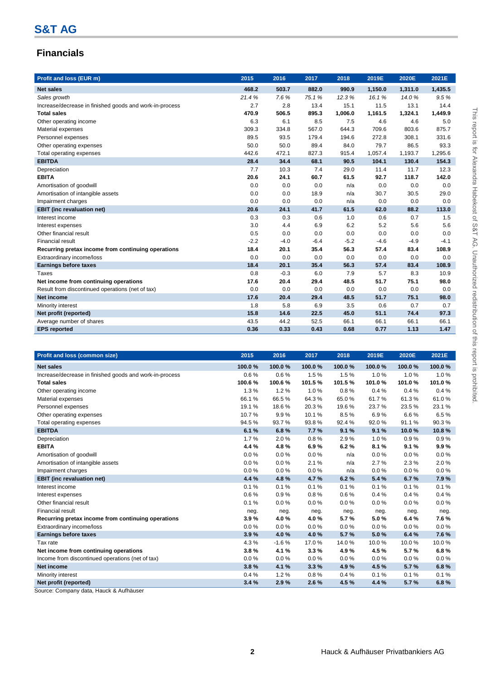# **Financials**

| Profit and loss (EUR m)                                 | 2015   | 2016   | 2017   | 2018    | 2019E   | 2020E   | 2021E   |
|---------------------------------------------------------|--------|--------|--------|---------|---------|---------|---------|
| <b>Net sales</b>                                        | 468.2  | 503.7  | 882.0  | 990.9   | 1,150.0 | 1,311.0 | 1,435.5 |
| Sales growth                                            | 21.4%  | 7.6%   | 75.1%  | 12.3%   | 16.1%   | 14.0%   | 9.5%    |
| Increase/decrease in finished goods and work-in-process | 2.7    | 2.8    | 13.4   | 15.1    | 11.5    | 13.1    | 14.4    |
| <b>Total sales</b>                                      | 470.9  | 506.5  | 895.3  | 1,006.0 | 1,161.5 | 1,324.1 | 1,449.9 |
| Other operating income                                  | 6.3    | 6.1    | 8.5    | 7.5     | 4.6     | 4.6     | 5.0     |
| Material expenses                                       | 309.3  | 334.8  | 567.0  | 644.3   | 709.6   | 803.6   | 875.7   |
| Personnel expenses                                      | 89.5   | 93.5   | 179.4  | 194.6   | 272.8   | 308.1   | 331.6   |
| Other operating expenses                                | 50.0   | 50.0   | 89.4   | 84.0    | 79.7    | 86.5    | 93.3    |
| Total operating expenses                                | 442.6  | 472.1  | 827.3  | 915.4   | 1.057.4 | 1,193.7 | 1,295.6 |
| <b>EBITDA</b>                                           | 28.4   | 34.4   | 68.1   | 90.5    | 104.1   | 130.4   | 154.3   |
| Depreciation                                            | 7.7    | 10.3   | 7.4    | 29.0    | 11.4    | 11.7    | 12.3    |
| <b>EBITA</b>                                            | 20.6   | 24.1   | 60.7   | 61.5    | 92.7    | 118.7   | 142.0   |
| Amortisation of goodwill                                | 0.0    | 0.0    | 0.0    | n/a     | 0.0     | 0.0     | 0.0     |
| Amortisation of intangible assets                       | 0.0    | 0.0    | 18.9   | n/a     | 30.7    | 30.5    | 29.0    |
| Impairment charges                                      | 0.0    | 0.0    | 0.0    | n/a     | 0.0     | 0.0     | 0.0     |
| <b>EBIT</b> (inc revaluation net)                       | 20.6   | 24.1   | 41.7   | 61.5    | 62.0    | 88.2    | 113.0   |
| Interest income                                         | 0.3    | 0.3    | 0.6    | 1.0     | 0.6     | 0.7     | 1.5     |
| Interest expenses                                       | 3.0    | 4.4    | 6.9    | 6.2     | 5.2     | 5.6     | 5.6     |
| Other financial result                                  | 0.5    | 0.0    | 0.0    | 0.0     | 0.0     | 0.0     | 0.0     |
| <b>Financial result</b>                                 | $-2.2$ | $-4.0$ | $-6.4$ | $-5.2$  | $-4.6$  | $-4.9$  | $-4.1$  |
| Recurring pretax income from continuing operations      | 18.4   | 20.1   | 35.4   | 56.3    | 57.4    | 83.4    | 108.9   |
| Extraordinary income/loss                               | 0.0    | 0.0    | 0.0    | 0.0     | 0.0     | 0.0     | 0.0     |
| <b>Earnings before taxes</b>                            | 18.4   | 20.1   | 35.4   | 56.3    | 57.4    | 83.4    | 108.9   |
| <b>Taxes</b>                                            | 0.8    | $-0.3$ | 6.0    | 7.9     | 5.7     | 8.3     | 10.9    |
| Net income from continuing operations                   | 17.6   | 20.4   | 29.4   | 48.5    | 51.7    | 75.1    | 98.0    |
| Result from discontinued operations (net of tax)        | 0.0    | 0.0    | 0.0    | 0.0     | 0.0     | 0.0     | 0.0     |
| <b>Net income</b>                                       | 17.6   | 20.4   | 29.4   | 48.5    | 51.7    | 75.1    | 98.0    |
| Minority interest                                       | 1.8    | 5.8    | 6.9    | 3.5     | 0.6     | 0.7     | 0.7     |
| Net profit (reported)                                   | 15.8   | 14.6   | 22.5   | 45.0    | 51.1    | 74.4    | 97.3    |
| Average number of shares                                | 43.5   | 44.2   | 52.5   | 66.1    | 66.1    | 66.1    | 66.1    |
| <b>EPS</b> reported                                     | 0.36   | 0.33   | 0.43   | 0.68    | 0.77    | 1.13    | 1.47    |

| Profit and loss (common size)                           | 2015   | 2016    | 2017   | 2018   | 2019E  | 2020E  | 2021E  |
|---------------------------------------------------------|--------|---------|--------|--------|--------|--------|--------|
| <b>Net sales</b>                                        | 100.0% | 100.0%  | 100.0% | 100.0% | 100.0% | 100.0% | 100.0% |
| Increase/decrease in finished goods and work-in-process | 0.6%   | 0.6%    | 1.5%   | 1.5%   | 1.0%   | 1.0%   | 1.0%   |
| <b>Total sales</b>                                      | 100.6% | 100.6%  | 101.5% | 101.5% | 101.0% | 101.0% | 101.0% |
| Other operating income                                  | 1.3%   | 1.2%    | 1.0%   | 0.8%   | 0.4%   | 0.4%   | 0.4%   |
| Material expenses                                       | 66.1%  | 66.5%   | 64.3%  | 65.0%  | 61.7%  | 61.3%  | 61.0%  |
| Personnel expenses                                      | 19.1%  | 18.6%   | 20.3%  | 19.6%  | 23.7%  | 23.5%  | 23.1%  |
| Other operating expenses                                | 10.7%  | 9.9%    | 10.1%  | 8.5%   | 6.9%   | 6.6%   | 6.5%   |
| Total operating expenses                                | 94.5%  | 93.7%   | 93.8%  | 92.4%  | 92.0%  | 91.1%  | 90.3%  |
| <b>EBITDA</b>                                           | 6.1%   | 6.8%    | 7.7%   | 9.1%   | 9.1%   | 10.0%  | 10.8%  |
| Depreciation                                            | 1.7%   | 2.0%    | 0.8%   | 2.9%   | 1.0%   | 0.9%   | 0.9%   |
| <b>EBITA</b>                                            | 4.4 %  | 4.8%    | 6.9%   | 6.2%   | 8.1%   | 9.1%   | 9.9%   |
| Amortisation of goodwill                                | 0.0%   | 0.0%    | 0.0%   | n/a    | 0.0%   | 0.0%   | 0.0%   |
| Amortisation of intangible assets                       | 0.0%   | 0.0%    | 2.1%   | n/a    | 2.7%   | 2.3%   | 2.0%   |
| Impairment charges                                      | 0.0%   | 0.0%    | 0.0%   | n/a    | 0.0%   | 0.0%   | 0.0%   |
| <b>EBIT</b> (inc revaluation net)                       | 4.4 %  | 4.8%    | 4.7%   | 6.2%   | 5.4%   | 6.7%   | 7.9%   |
| Interest income                                         | 0.1%   | 0.1%    | 0.1%   | 0.1%   | 0.1%   | 0.1%   | 0.1%   |
| Interest expenses                                       | 0.6%   | 0.9%    | 0.8%   | 0.6%   | 0.4%   | 0.4%   | 0.4%   |
| Other financial result                                  | 0.1%   | 0.0%    | 0.0%   | 0.0%   | 0.0%   | 0.0%   | 0.0%   |
| <b>Financial result</b>                                 | neg.   | neg.    | neg.   | neg.   | neg.   | neg.   | neg.   |
| Recurring pretax income from continuing operations      | 3.9%   | 4.0%    | 4.0%   | 5.7%   | 5.0%   | 6.4%   | 7.6%   |
| Extraordinary income/loss                               | 0.0%   | $0.0\%$ | 0.0%   | 0.0%   | 0.0%   | 0.0%   | 0.0%   |
| <b>Earnings before taxes</b>                            | 3.9%   | 4.0%    | 4.0%   | 5.7%   | 5.0%   | 6.4%   | 7.6%   |
| Tax rate                                                | 4.3%   | $-1.6%$ | 17.0%  | 14.0%  | 10.0%  | 10.0%  | 10.0%  |
| Net income from continuing operations                   | 3.8%   | 4.1%    | 3.3%   | 4.9%   | 4.5%   | 5.7%   | 6.8%   |
| Income from discontinued operations (net of tax)        | 0.0%   | $0.0\%$ | 0.0%   | 0.0%   | 0.0%   | 0.0%   | 0.0%   |
| Net income                                              | 3.8%   | 4.1%    | 3.3%   | 4.9%   | 4.5 %  | 5.7%   | 6.8%   |
| Minority interest                                       | 0.4%   | 1.2%    | 0.8%   | 0.4%   | 0.1%   | 0.1%   | 0.1%   |
| Net profit (reported)                                   | 3.4%   | 2.9%    | 2.6%   | 4.5%   | 4.4 %  | 5.7%   | 6.8%   |

Source: Company data, Hauck & Aufhäuser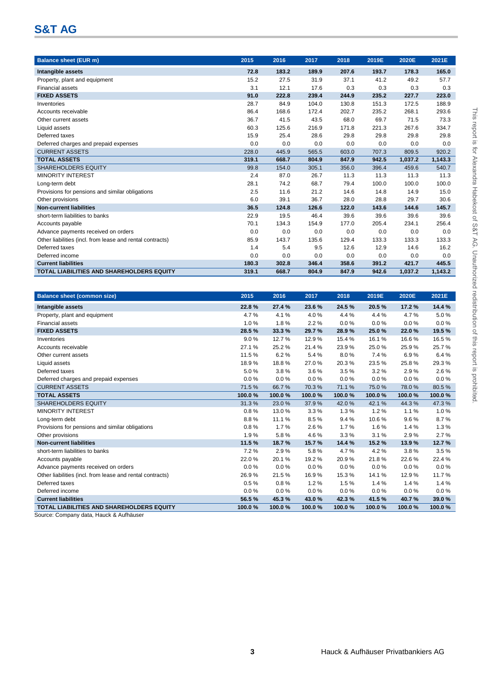# **S&T AG**

| <b>Balance sheet (EUR m)</b>                              | 2015  | 2016  | 2017  | 2018  | 2019E | 2020E   | 2021E   |
|-----------------------------------------------------------|-------|-------|-------|-------|-------|---------|---------|
| Intangible assets                                         | 72.8  | 183.2 | 189.9 | 207.6 | 193.7 | 178.3   | 165.0   |
| Property, plant and equipment                             | 15.2  | 27.5  | 31.9  | 37.1  | 41.2  | 49.2    | 57.7    |
| <b>Financial assets</b>                                   | 3.1   | 12.1  | 17.6  | 0.3   | 0.3   | 0.3     | 0.3     |
| <b>FIXED ASSETS</b>                                       | 91.0  | 222.8 | 239.4 | 244.9 | 235.2 | 227.7   | 223.0   |
| Inventories                                               | 28.7  | 84.9  | 104.0 | 130.8 | 151.3 | 172.5   | 188.9   |
| Accounts receivable                                       | 86.4  | 168.6 | 172.4 | 202.7 | 235.2 | 268.1   | 293.6   |
| Other current assets                                      | 36.7  | 41.5  | 43.5  | 68.0  | 69.7  | 71.5    | 73.3    |
| Liquid assets                                             | 60.3  | 125.6 | 216.9 | 171.8 | 221.3 | 267.6   | 334.7   |
| Deferred taxes                                            | 15.9  | 25.4  | 28.6  | 29.8  | 29.8  | 29.8    | 29.8    |
| Deferred charges and prepaid expenses                     | 0.0   | 0.0   | 0.0   | 0.0   | 0.0   | 0.0     | 0.0     |
| <b>CURRENT ASSETS</b>                                     | 228.0 | 445.9 | 565.5 | 603.0 | 707.3 | 809.5   | 920.2   |
| <b>TOTAL ASSETS</b>                                       | 319.1 | 668.7 | 804.9 | 847.9 | 942.5 | 1,037.2 | 1,143.3 |
| <b>SHAREHOLDERS EQUITY</b>                                | 99.8  | 154.0 | 305.1 | 356.0 | 396.4 | 459.6   | 540.7   |
| <b>MINORITY INTEREST</b>                                  | 2.4   | 87.0  | 26.7  | 11.3  | 11.3  | 11.3    | 11.3    |
| Long-term debt                                            | 28.1  | 74.2  | 68.7  | 79.4  | 100.0 | 100.0   | 100.0   |
| Provisions for pensions and similar obligations           | 2.5   | 11.6  | 21.2  | 14.6  | 14.8  | 14.9    | 15.0    |
| Other provisions                                          | 6.0   | 39.1  | 36.7  | 28.0  | 28.8  | 29.7    | 30.6    |
| <b>Non-current liabilities</b>                            | 36.5  | 124.8 | 126.6 | 122.0 | 143.6 | 144.6   | 145.7   |
| short-term liabilities to banks                           | 22.9  | 19.5  | 46.4  | 39.6  | 39.6  | 39.6    | 39.6    |
| Accounts payable                                          | 70.1  | 134.3 | 154.9 | 177.0 | 205.4 | 234.1   | 256.4   |
| Advance payments received on orders                       | 0.0   | 0.0   | 0.0   | 0.0   | 0.0   | 0.0     | 0.0     |
| Other liabilities (incl. from lease and rental contracts) | 85.9  | 143.7 | 135.6 | 129.4 | 133.3 | 133.3   | 133.3   |
| Deferred taxes                                            | 1.4   | 5.4   | 9.5   | 12.6  | 12.9  | 14.6    | 16.2    |
| Deferred income                                           | 0.0   | 0.0   | 0.0   | 0.0   | 0.0   | 0.0     | 0.0     |
| <b>Current liabilities</b>                                | 180.3 | 302.8 | 346.4 | 358.6 | 391.2 | 421.7   | 445.5   |
| <b>TOTAL LIABILITIES AND SHAREHOLDERS EQUITY</b>          | 319.1 | 668.7 | 804.9 | 847.9 | 942.6 | 1,037.2 | 1,143.2 |

| <b>Balance sheet (common size)</b>                        | 2015   | 2016    | 2017   | 2018   | 2019E  | 2020E  | 2021E  |
|-----------------------------------------------------------|--------|---------|--------|--------|--------|--------|--------|
| Intangible assets                                         | 22.8%  | 27.4 %  | 23.6%  | 24.5%  | 20.5%  | 17.2%  | 14.4 % |
| Property, plant and equipment                             | 4.7%   | 4.1%    | 4.0%   | 4.4 %  | 4.4%   | 4.7%   | 5.0%   |
| <b>Financial assets</b>                                   | 1.0%   | 1.8%    | 2.2%   | 0.0%   | 0.0%   | 0.0%   | 0.0%   |
| <b>FIXED ASSETS</b>                                       | 28.5%  | 33.3%   | 29.7%  | 28.9%  | 25.0%  | 22.0%  | 19.5%  |
| Inventories                                               | 9.0%   | 12.7%   | 12.9%  | 15.4 % | 16.1%  | 16.6%  | 16.5%  |
| Accounts receivable                                       | 27.1%  | 25.2%   | 21.4%  | 23.9%  | 25.0%  | 25.9%  | 25.7%  |
| Other current assets                                      | 11.5%  | 6.2%    | 5.4%   | 8.0%   | 7.4 %  | 6.9%   | 6.4%   |
| Liquid assets                                             | 18.9%  | 18.8%   | 27.0%  | 20.3%  | 23.5%  | 25.8%  | 29.3%  |
| Deferred taxes                                            | 5.0%   | 3.8%    | 3.6%   | 3.5%   | 3.2%   | 2.9%   | 2.6%   |
| Deferred charges and prepaid expenses                     | 0.0%   | $0.0\%$ | 0.0%   | 0.0%   | 0.0%   | 0.0%   | 0.0%   |
| <b>CURRENT ASSETS</b>                                     | 71.5%  | 66.7%   | 70.3%  | 71.1%  | 75.0%  | 78.0%  | 80.5%  |
| <b>TOTAL ASSETS</b>                                       | 100.0% | 100.0%  | 100.0% | 100.0% | 100.0% | 100.0% | 100.0% |
| <b>SHAREHOLDERS EQUITY</b>                                | 31.3%  | 23.0%   | 37.9%  | 42.0%  | 42.1%  | 44.3%  | 47.3%  |
| <b>MINORITY INTEREST</b>                                  | 0.8%   | 13.0%   | 3.3%   | 1.3%   | 1.2%   | 1.1%   | 1.0%   |
| Long-term debt                                            | 8.8%   | 11.1%   | 8.5%   | 9.4%   | 10.6%  | 9.6%   | 8.7%   |
| Provisions for pensions and similar obligations           | 0.8%   | 1.7%    | 2.6%   | 1.7%   | 1.6%   | 1.4%   | 1.3%   |
| Other provisions                                          | 1.9%   | 5.8%    | 4.6%   | 3.3%   | 3.1%   | 2.9%   | 2.7%   |
| <b>Non-current liabilities</b>                            | 11.5%  | 18.7%   | 15.7%  | 14.4 % | 15.2%  | 13.9%  | 12.7%  |
| short-term liabilities to banks                           | 7.2%   | 2.9%    | 5.8%   | 4.7%   | 4.2%   | 3.8%   | 3.5%   |
| Accounts payable                                          | 22.0%  | 20.1%   | 19.2 % | 20.9%  | 21.8%  | 22.6%  | 22.4%  |
| Advance payments received on orders                       | 0.0%   | 0.0%    | 0.0%   | 0.0%   | 0.0%   | 0.0%   | 0.0%   |
| Other liabilities (incl. from lease and rental contracts) | 26.9%  | 21.5%   | 16.9%  | 15.3%  | 14.1%  | 12.9%  | 11.7%  |
| Deferred taxes                                            | 0.5%   | 0.8%    | 1.2%   | 1.5%   | 1.4%   | 1.4%   | 1.4%   |
| Deferred income                                           | 0.0%   | 0.0%    | 0.0%   | 0.0%   | 0.0%   | 0.0%   | 0.0%   |
| <b>Current liabilities</b>                                | 56.5%  | 45.3%   | 43.0%  | 42.3%  | 41.5%  | 40.7%  | 39.0%  |
| <b>TOTAL LIABILITIES AND SHAREHOLDERS EQUITY</b>          | 100.0% | 100.0%  | 100.0% | 100.0% | 100.0% | 100.0% | 100.0% |

Source: Company data, Hauck & Aufhäuser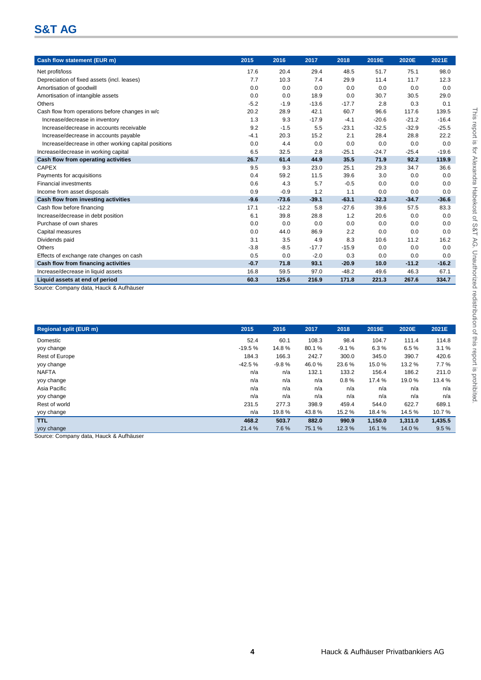# **S&T AG**

| Cash flow statement (EUR m)                          | 2015   | 2016    | 2017    | 2018    | 2019E   | 2020E   | 2021E   |
|------------------------------------------------------|--------|---------|---------|---------|---------|---------|---------|
| Net profit/loss                                      | 17.6   | 20.4    | 29.4    | 48.5    | 51.7    | 75.1    | 98.0    |
| Depreciation of fixed assets (incl. leases)          | 7.7    | 10.3    | 7.4     | 29.9    | 11.4    | 11.7    | 12.3    |
| Amortisation of goodwill                             | 0.0    | 0.0     | 0.0     | 0.0     | 0.0     | 0.0     | 0.0     |
| Amortisation of intangible assets                    | 0.0    | 0.0     | 18.9    | 0.0     | 30.7    | 30.5    | 29.0    |
| Others                                               | $-5.2$ | $-1.9$  | $-13.6$ | $-17.7$ | 2.8     | 0.3     | 0.1     |
| Cash flow from operations before changes in w/c      | 20.2   | 28.9    | 42.1    | 60.7    | 96.6    | 117.6   | 139.5   |
| Increase/decrease in inventory                       | 1.3    | 9.3     | $-17.9$ | $-4.1$  | $-20.6$ | $-21.2$ | $-16.4$ |
| Increase/decrease in accounts receivable             | 9.2    | $-1.5$  | 5.5     | $-23.1$ | $-32.5$ | $-32.9$ | $-25.5$ |
| Increase/decrease in accounts payable                | $-4.1$ | 20.3    | 15.2    | 2.1     | 28.4    | 28.8    | 22.2    |
| Increase/decrease in other working capital positions | 0.0    | 4.4     | 0.0     | 0.0     | 0.0     | 0.0     | 0.0     |
| Increase/decrease in working capital                 | 6.5    | 32.5    | 2.8     | $-25.1$ | $-24.7$ | $-25.4$ | $-19.6$ |
| Cash flow from operating activities                  | 26.7   | 61.4    | 44.9    | 35.5    | 71.9    | 92.2    | 119.9   |
| <b>CAPEX</b>                                         | 9.5    | 9.3     | 23.0    | 25.1    | 29.3    | 34.7    | 36.6    |
| Payments for acquisitions                            | 0.4    | 59.2    | 11.5    | 39.6    | 3.0     | 0.0     | 0.0     |
| <b>Financial investments</b>                         | 0.6    | 4.3     | 5.7     | $-0.5$  | 0.0     | 0.0     | 0.0     |
| Income from asset disposals                          | 0.9    | $-0.9$  | 1.2     | 1.1     | 0.0     | 0.0     | 0.0     |
| Cash flow from investing activities                  | $-9.6$ | $-73.6$ | $-39.1$ | $-63.1$ | $-32.3$ | $-34.7$ | $-36.6$ |
| Cash flow before financing                           | 17.1   | $-12.2$ | 5.8     | $-27.6$ | 39.6    | 57.5    | 83.3    |
| Increase/decrease in debt position                   | 6.1    | 39.8    | 28.8    | 1.2     | 20.6    | 0.0     | 0.0     |
| Purchase of own shares                               | 0.0    | 0.0     | 0.0     | 0.0     | 0.0     | 0.0     | 0.0     |
| Capital measures                                     | 0.0    | 44.0    | 86.9    | 2.2     | 0.0     | 0.0     | 0.0     |
| Dividends paid                                       | 3.1    | 3.5     | 4.9     | 8.3     | 10.6    | 11.2    | 16.2    |
| Others                                               | $-3.8$ | $-8.5$  | $-17.7$ | $-15.9$ | 0.0     | 0.0     | 0.0     |
| Effects of exchange rate changes on cash             | 0.5    | 0.0     | $-2.0$  | 0.3     | 0.0     | 0.0     | 0.0     |
| Cash flow from financing activities                  | $-0.7$ | 71.8    | 93.1    | $-20.9$ | 10.0    | $-11.2$ | $-16.2$ |
| Increase/decrease in liquid assets                   | 16.8   | 59.5    | 97.0    | $-48.2$ | 49.6    | 46.3    | 67.1    |
| Liquid assets at end of period                       | 60.3   | 125.6   | 216.9   | 171.8   | 221.3   | 267.6   | 334.7   |
| Source: Company data. Hauck & Aufhäuser              |        |         |         |         |         |         |         |

Source: Company data, Hauck & Aufhäuser

| <b>Regional split (EUR m)</b>          | 2015     | 2016    | 2017  | 2018    | 2019E   | 2020E   | 2021E   |
|----------------------------------------|----------|---------|-------|---------|---------|---------|---------|
| Domestic                               | 52.4     | 60.1    | 108.3 | 98.4    | 104.7   | 111.4   | 114.8   |
| yoy change                             | $-19.5%$ | 14.8%   | 80.1% | $-9.1%$ | 6.3%    | 6.5%    | 3.1%    |
| <b>Rest of Europe</b>                  | 184.3    | 166.3   | 242.7 | 300.0   | 345.0   | 390.7   | 420.6   |
| yoy change                             | $-42.5%$ | $-9.8%$ | 46.0% | 23.6%   | 15.0%   | 13.2 %  | 7.7%    |
| <b>NAFTA</b>                           | n/a      | n/a     | 132.1 | 133.2   | 156.4   | 186.2   | 211.0   |
| yoy change                             | n/a      | n/a     | n/a   | 0.8%    | 17.4 %  | 19.0%   | 13.4 %  |
| Asia Pacific                           | n/a      | n/a     | n/a   | n/a     | n/a     | n/a     | n/a     |
| yoy change                             | n/a      | n/a     | n/a   | n/a     | n/a     | n/a     | n/a     |
| Rest of world                          | 231.5    | 277.3   | 398.9 | 459.4   | 544.0   | 622.7   | 689.1   |
| yoy change                             | n/a      | 19.8%   | 43.8% | 15.2%   | 18.4 %  | 14.5%   | 10.7%   |
| <b>TTL</b>                             | 468.2    | 503.7   | 882.0 | 990.9   | 1.150.0 | 1.311.0 | 1,435.5 |
| yoy change                             | 21.4 %   | 7.6%    | 75.1% | 12.3%   | 16.1%   | 14.0%   | 9.5%    |
| Source: Company data Hauck & Aufhäuser |          |         |       |         |         |         |         |

rce: Company data, Hauck & Aufhäuser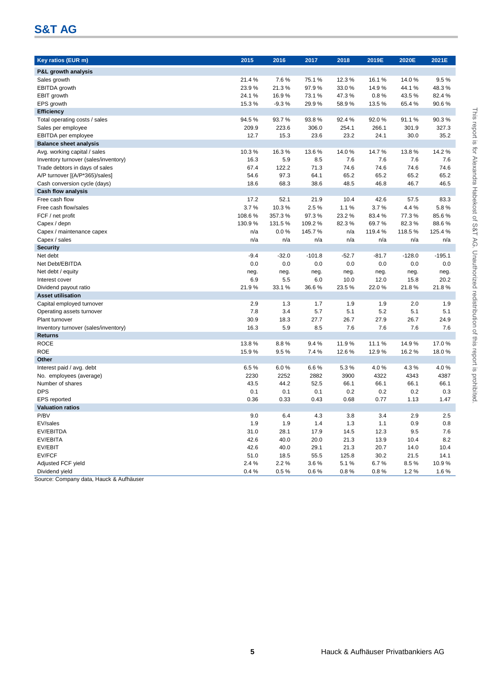# **S&T AG**

| Key ratios (EUR m)                   | 2015   | 2016    | 2017     | 2018    | 2019E   | 2020E    | 2021E    |
|--------------------------------------|--------|---------|----------|---------|---------|----------|----------|
| P&L growth analysis                  |        |         |          |         |         |          |          |
| Sales growth                         | 21.4%  | 7.6%    | 75.1%    | 12.3%   | 16.1%   | 14.0%    | 9.5%     |
| EBITDA growth                        | 23.9%  | 21.3%   | 97.9%    | 33.0%   | 14.9%   | 44.1%    | 48.3%    |
| <b>EBIT</b> growth                   | 24.1%  | 16.9%   | 73.1 %   | 47.3%   | 0.8%    | 43.5%    | 82.4%    |
| EPS growth                           | 15.3%  | $-9.3%$ | 29.9%    | 58.9%   | 13.5%   | 65.4%    | 90.6%    |
| Efficiency                           |        |         |          |         |         |          |          |
| Total operating costs / sales        | 94.5%  | 93.7%   | 93.8%    | 92.4%   | 92.0%   | 91.1%    | 90.3%    |
| Sales per employee                   | 209.9  | 223.6   | 306.0    | 254.1   | 266.1   | 301.9    | 327.3    |
| EBITDA per employee                  | 12.7   | 15.3    | 23.6     | 23.2    | 24.1    | 30.0     | 35.2     |
| <b>Balance sheet analysis</b>        |        |         |          |         |         |          |          |
| Avg. working capital / sales         | 10.3%  | 16.3%   | 13.6%    | 14.0%   | 14.7%   | 13.8%    | 14.2%    |
| Inventory turnover (sales/inventory) | 16.3   | 5.9     | 8.5      | 7.6     | 7.6     | 7.6      | 7.6      |
| Trade debtors in days of sales       | 67.4   | 122.2   | 71.3     | 74.6    | 74.6    | 74.6     | 74.6     |
| A/P turnover [(A/P*365)/sales]       | 54.6   | 97.3    | 64.1     | 65.2    | 65.2    | 65.2     | 65.2     |
| Cash conversion cycle (days)         | 18.6   | 68.3    | 38.6     | 48.5    | 46.8    | 46.7     | 46.5     |
| <b>Cash flow analysis</b>            |        |         |          |         |         |          |          |
| Free cash flow                       | 17.2   | 52.1    | 21.9     | 10.4    | 42.6    | 57.5     | 83.3     |
| Free cash flow/sales                 | 3.7%   | 10.3%   | 2.5%     | 1.1%    | 3.7%    | 4.4%     | 5.8%     |
| FCF / net profit                     | 108.6% | 357.3%  | 97.3%    | 23.2%   | 83.4%   | 77.3%    | 85.6%    |
| Capex / depn                         | 130.9% | 131.5%  | 109.2%   | 82.3%   | 69.7%   | 82.3%    | 88.6%    |
| Capex / maintenance capex            | n/a    | 0.0%    | 145.7%   | n/a     | 119.4%  | 118.5%   | 125.4%   |
| Capex / sales                        | n/a    | n/a     | n/a      | n/a     | n/a     | n/a      | n/a      |
| <b>Security</b>                      |        |         |          |         |         |          |          |
| Net debt                             | $-9.4$ | $-32.0$ | $-101.8$ | $-52.7$ | $-81.7$ | $-128.0$ | $-195.1$ |
| Net Debt/EBITDA                      | 0.0    | 0.0     | 0.0      | 0.0     | 0.0     | 0.0      | 0.0      |
| Net debt / equity                    | neg.   | neg.    | neg.     | neg.    | neg.    | neg.     | neg.     |
| Interest cover                       | 6.9    | 5.5     | 6.0      | 10.0    | 12.0    | 15.8     | 20.2     |
| Dividend payout ratio                | 21.9%  | 33.1%   | 36.6%    | 23.5%   | 22.0%   | 21.8%    | 21.8%    |
| <b>Asset utilisation</b>             |        |         |          |         |         |          |          |
| Capital employed turnover            | 2.9    | 1.3     | 1.7      | 1.9     | 1.9     | 2.0      | 1.9      |
| Operating assets turnover            | 7.8    | 3.4     | 5.7      | 5.1     | 5.2     | 5.1      | 5.1      |
| Plant turnover                       | 30.9   | 18.3    | 27.7     | 26.7    | 27.9    | 26.7     | 24.9     |
| Inventory turnover (sales/inventory) | 16.3   | 5.9     | 8.5      | 7.6     | 7.6     | 7.6      | 7.6      |
| <b>Returns</b>                       |        |         |          |         |         |          |          |
| <b>ROCE</b><br><b>ROE</b>            | 13.8%  | 8.8%    | 9.4%     | 11.9%   | 11.1%   | 14.9%    | 17.0%    |
| Other                                | 15.9%  | 9.5%    | 7.4 %    | 12.6%   | 12.9%   | 16.2%    | 18.0%    |
| Interest paid / avg. debt            | 6.5%   | 6.0%    | 6.6%     | 5.3%    | 4.0%    | 4.3%     | 4.0%     |
| No. employees (average)              | 2230   | 2252    | 2882     | 3900    | 4322    | 4343     | 4387     |
| Number of shares                     | 43.5   | 44.2    | 52.5     | 66.1    | 66.1    | 66.1     | 66.1     |
| <b>DPS</b>                           | 0.1    | 0.1     | 0.1      | 0.2     | 0.2     | 0.2      | 0.3      |
| <b>EPS</b> reported                  | 0.36   | 0.33    | 0.43     | 0.68    | 0.77    | 1.13     | 1.47     |
| <b>Valuation ratios</b>              |        |         |          |         |         |          |          |
| P/BV                                 | 9.0    | 6.4     | 4.3      | 3.8     | 3.4     | 2.9      | 2.5      |
| EV/sales                             | 1.9    | 1.9     | 1.4      | 1.3     | $1.1$   | 0.9      | 0.8      |
| EV/EBITDA                            | 31.0   | 28.1    | 17.9     | 14.5    | 12.3    | 9.5      | 7.6      |
| EV/EBITA                             | 42.6   | 40.0    | 20.0     | 21.3    | 13.9    | 10.4     | 8.2      |
| EV/EBIT                              | 42.6   | 40.0    | 29.1     | 21.3    | 20.7    | 14.0     | 10.4     |
| <b>EV/FCF</b>                        | 51.0   | 18.5    | 55.5     | 125.8   | 30.2    | 21.5     | 14.1     |
| Adjusted FCF yield                   | 2.4%   | 2.2%    | 3.6%     | 5.1%    | 6.7%    | 8.5%     | 10.9%    |
| Dividend yield                       | 0.4%   | 0.5%    | 0.6%     | 0.8%    | 0.8%    | 1.2%     | 1.6%     |

Source: Company data, Hauck & Aufhäuser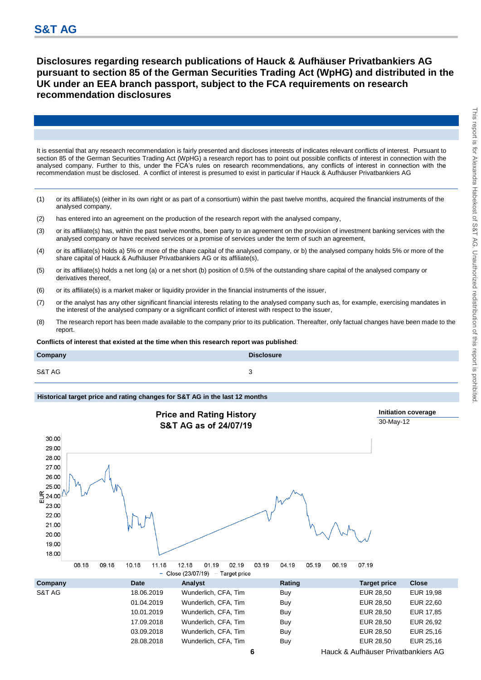**Disclosures regarding research publications of Hauck & Aufhäuser Privatbankiers AG pursuant to section 85 of the German Securities Trading Act (WpHG) and distributed in the UK under an EEA branch passport, subject to the FCA requirements on research recommendation disclosures**

It is essential that any research recommendation is fairly presented and discloses interests of indicates relevant conflicts of interest. Pursuant to section 85 of the German Securities Trading Act (WpHG) a research report has to point out possible conflicts of interest in connection with the analysed company. Further to this, under the FCA's rules on research recommendations, any conflicts of interest in connection with the recommendation must be disclosed. A conflict of interest is presumed to exist in particular if Hauck & Aufhäuser Privatbankiers AG

- (1) or its affiliate(s) (either in its own right or as part of a consortium) within the past twelve months, acquired the financial instruments of the analysed company,
- (2) has entered into an agreement on the production of the research report with the analysed company,
- (3) or its affiliate(s) has, within the past twelve months, been party to an agreement on the provision of investment banking services with the analysed company or have received services or a promise of services under the term of such an agreement,
- (4) or its affiliate(s) holds a) 5% or more of the share capital of the analysed company, or b) the analysed company holds 5% or more of the share capital of Hauck & Aufhäuser Privatbankiers AG or its affiliate(s),
- (5) or its affiliate(s) holds a net long (a) or a net short (b) position of 0.5% of the outstanding share capital of the analysed company or derivatives thereof,
- (6) or its affiliate(s) is a market maker or liquidity provider in the financial instruments of the issuer,
- (7) or the analyst has any other significant financial interests relating to the analysed company such as, for example, exercising mandates in the interest of the analysed company or a significant conflict of interest with respect to the issuer,
- (8) The research report has been made available to the company prior to its publication. Thereafter, only factual changes have been made to the report.

**Conflicts of interest that existed at the time when this research report was published**:

| Company | <b>Disclosure</b> |
|---------|-------------------|
| S&T AG  | ັ                 |

# **Historical target price and rating changes for S&T AG in the last 12 months**



**6** Hauck & Aufhäuser Privatbankiers AG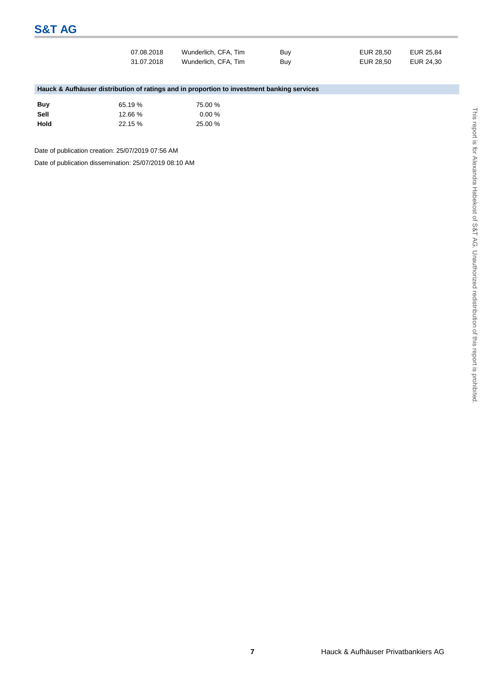| 07.08.2018 | Wunderlich, CFA, Tim | Buy | EUR 28.50 | EUR 25.84 |
|------------|----------------------|-----|-----------|-----------|
| 31.07.2018 | Wunderlich, CFA, Tim | Buv | EUR 28.50 | EUR 24.30 |

# **Hauck & Aufhäuser distribution of ratings and in proportion to investment banking services**

| Buv  | 65.19 % | 75.00 %   |
|------|---------|-----------|
| Sell | 12.66%  | $0.00 \%$ |
| Hold | 22.15 % | 25.00 %   |

Date of publication creation: 25/07/2019 07:56 AM

Date of publication dissemination: 25/07/2019 08:10 AM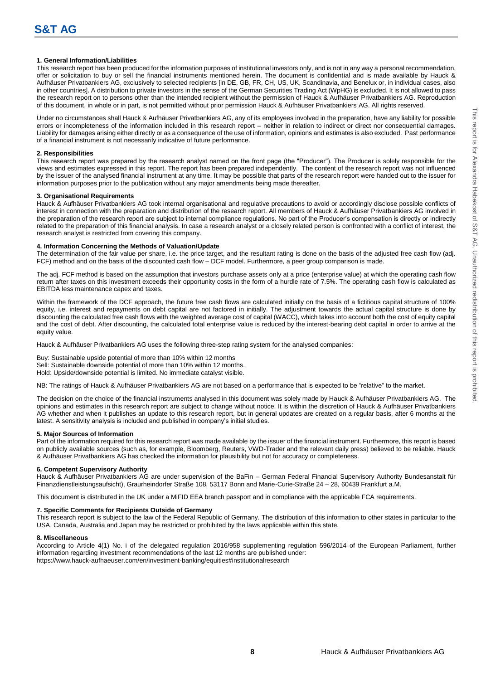#### **1. General Information/Liabilities**

This research report has been produced for the information purposes of institutional investors only, and is not in any way a personal recommendation, offer or solicitation to buy or sell the financial instruments mentioned herein. The document is confidential and is made available by Hauck & Aufhäuser Privatbankiers AG, exclusively to selected recipients [in DE, GB, FR, CH, US, UK, Scandinavia, and Benelux or, in individual cases, also in other countries]. A distribution to private investors in the sense of the German Securities Trading Act (WpHG) is excluded. It is not allowed to pass the research report on to persons other than the intended recipient without the permission of Hauck & Aufhäuser Privatbankiers AG. Reproduction of this document, in whole or in part, is not permitted without prior permission Hauck & Aufhäuser Privatbankiers AG. All rights reserved.

Under no circumstances shall Hauck & Aufhäuser Privatbankiers AG, any of its employees involved in the preparation, have any liability for possible errors or incompleteness of the information included in this research report – neither in relation to indirect or direct nor consequential damages. Liability for damages arising either directly or as a consequence of the use of information, opinions and estimates is also excluded. Past performance of a financial instrument is not necessarily indicative of future performance.

#### **2. Responsibilities**

This research report was prepared by the research analyst named on the front page (the "Producer"). The Producer is solely responsible for the views and estimates expressed in this report. The report has been prepared independently. The content of the research report was not influenced by the issuer of the analysed financial instrument at any time. It may be possible that parts of the research report were handed out to the issuer for information purposes prior to the publication without any major amendments being made thereafter.

#### **3. Organisational Requirements**

Hauck & Aufhäuser Privatbankiers AG took internal organisational and regulative precautions to avoid or accordingly disclose possible conflicts of interest in connection with the preparation and distribution of the research report. All members of Hauck & Aufhäuser Privatbankiers AG involved in the preparation of the research report are subject to internal compliance regulations. No part of the Producer's compensation is directly or indirectly related to the preparation of this financial analysis. In case a research analyst or a closely related person is confronted with a conflict of interest, the research analyst is restricted from covering this company.

#### **4. Information Concerning the Methods of Valuation/Update**

The determination of the fair value per share, i.e. the price target, and the resultant rating is done on the basis of the adjusted free cash flow (adj. FCF) method and on the basis of the discounted cash flow – DCF model. Furthermore, a peer group comparison is made.

The adj. FCF method is based on the assumption that investors purchase assets only at a price (enterprise value) at which the operating cash flow return after taxes on this investment exceeds their opportunity costs in the form of a hurdle rate of 7.5%. The operating cash flow is calculated as EBITDA less maintenance capex and taxes.

Within the framework of the DCF approach, the future free cash flows are calculated initially on the basis of a fictitious capital structure of 100% equity, i.e. interest and repayments on debt capital are not factored in initially. The adjustment towards the actual capital structure is done by discounting the calculated free cash flows with the weighted average cost of capital (WACC), which takes into account both the cost of equity capital and the cost of debt. After discounting, the calculated total enterprise value is reduced by the interest-bearing debt capital in order to arrive at the equity value.

Hauck & Aufhäuser Privatbankiers AG uses the following three-step rating system for the analysed companies:

Buy: Sustainable upside potential of more than 10% within 12 months Sell: Sustainable downside potential of more than 10% within 12 months. Hold: Upside/downside potential is limited. No immediate catalyst visible.

NB: The ratings of Hauck & Aufhäuser Privatbankiers AG are not based on a performance that is expected to be "relative" to the market.

The decision on the choice of the financial instruments analysed in this document was solely made by Hauck & Aufhäuser Privatbankiers AG. The opinions and estimates in this research report are subject to change without notice. It is within the discretion of Hauck & Aufhäuser Privatbankiers AG whether and when it publishes an update to this research report, but in general updates are created on a regular basis, after 6 months at the latest. A sensitivity analysis is included and published in company's initial studies.

#### **5. Major Sources of Information**

Part of the information required for this research report was made available by the issuer of the financial instrument. Furthermore, this report is based on publicly available sources (such as, for example, Bloomberg, Reuters, VWD-Trader and the relevant daily press) believed to be reliable. Hauck & Aufhäuser Privatbankiers AG has checked the information for plausibility but not for accuracy or completeness.

#### **6. Competent Supervisory Authority**

Hauck & Aufhäuser Privatbankiers AG are under supervision of the BaFin – German Federal Financial Supervisory Authority Bundesanstalt für Finanzdienstleistungsaufsicht), Graurheindorfer Straße 108, 53117 Bonn and Marie-Curie-Straße 24 – 28, 60439 Frankfurt a.M.

This document is distributed in the UK under a MiFID EEA branch passport and in compliance with the applicable FCA requirements.

#### **7. Specific Comments for Recipients Outside of Germany**

This research report is subject to the law of the Federal Republic of Germany. The distribution of this information to other states in particular to the USA, Canada, Australia and Japan may be restricted or prohibited by the laws applicable within this state.

#### **8. Miscellaneous**

According to Article 4(1) No. i of the delegated regulation 2016/958 supplementing regulation 596/2014 of the European Parliament, further information regarding investment recommendations of the last 12 months are published under: https://www.hauck-aufhaeuser.com/en/investment-banking/equities#institutionalresearch